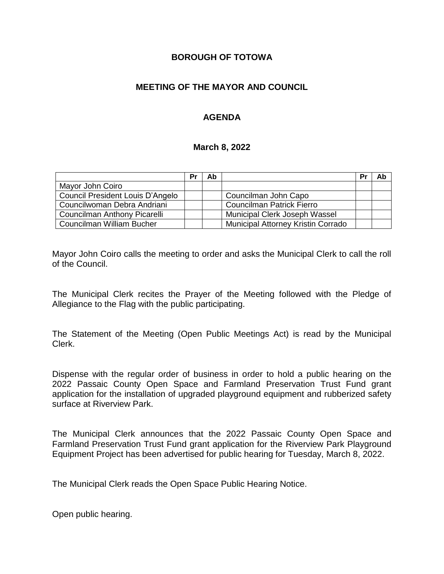### **BOROUGH OF TOTOWA**

### **MEETING OF THE MAYOR AND COUNCIL**

### **AGENDA**

#### **March 8, 2022**

|                                  | Pr | Ab |                                    | Pr | Ab |
|----------------------------------|----|----|------------------------------------|----|----|
| Mayor John Coiro                 |    |    |                                    |    |    |
| Council President Louis D'Angelo |    |    | Councilman John Capo               |    |    |
| Councilwoman Debra Andriani      |    |    | <b>Councilman Patrick Fierro</b>   |    |    |
| Councilman Anthony Picarelli     |    |    | Municipal Clerk Joseph Wassel      |    |    |
| Councilman William Bucher        |    |    | Municipal Attorney Kristin Corrado |    |    |

Mayor John Coiro calls the meeting to order and asks the Municipal Clerk to call the roll of the Council.

The Municipal Clerk recites the Prayer of the Meeting followed with the Pledge of Allegiance to the Flag with the public participating.

The Statement of the Meeting (Open Public Meetings Act) is read by the Municipal Clerk.

Dispense with the regular order of business in order to hold a public hearing on the 2022 Passaic County Open Space and Farmland Preservation Trust Fund grant application for the installation of upgraded playground equipment and rubberized safety surface at Riverview Park.

The Municipal Clerk announces that the 2022 Passaic County Open Space and Farmland Preservation Trust Fund grant application for the Riverview Park Playground Equipment Project has been advertised for public hearing for Tuesday, March 8, 2022.

The Municipal Clerk reads the Open Space Public Hearing Notice.

Open public hearing.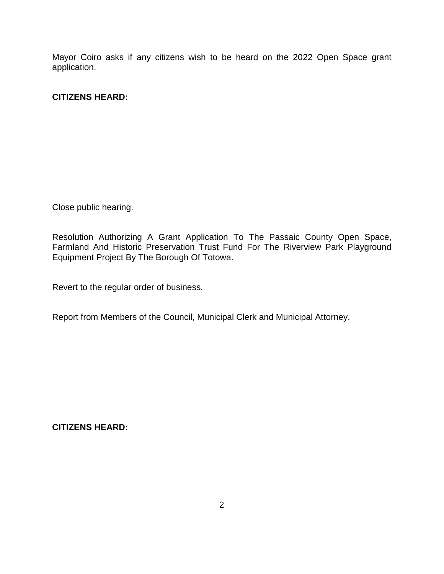Mayor Coiro asks if any citizens wish to be heard on the 2022 Open Space grant application.

### **CITIZENS HEARD:**

Close public hearing.

Resolution Authorizing A Grant Application To The Passaic County Open Space, Farmland And Historic Preservation Trust Fund For The Riverview Park Playground Equipment Project By The Borough Of Totowa.

Revert to the regular order of business.

Report from Members of the Council, Municipal Clerk and Municipal Attorney.

**CITIZENS HEARD:**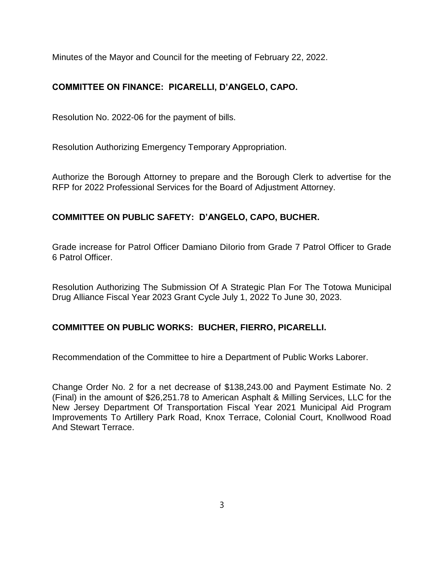Minutes of the Mayor and Council for the meeting of February 22, 2022.

# **COMMITTEE ON FINANCE: PICARELLI, D'ANGELO, CAPO.**

Resolution No. 2022-06 for the payment of bills.

Resolution Authorizing Emergency Temporary Appropriation.

Authorize the Borough Attorney to prepare and the Borough Clerk to advertise for the RFP for 2022 Professional Services for the Board of Adjustment Attorney.

## **COMMITTEE ON PUBLIC SAFETY: D'ANGELO, CAPO, BUCHER.**

Grade increase for Patrol Officer Damiano DiIorio from Grade 7 Patrol Officer to Grade 6 Patrol Officer.

Resolution Authorizing The Submission Of A Strategic Plan For The Totowa Municipal Drug Alliance Fiscal Year 2023 Grant Cycle July 1, 2022 To June 30, 2023.

## **COMMITTEE ON PUBLIC WORKS: BUCHER, FIERRO, PICARELLI.**

Recommendation of the Committee to hire a Department of Public Works Laborer.

Change Order No. 2 for a net decrease of \$138,243.00 and Payment Estimate No. 2 (Final) in the amount of \$26,251.78 to American Asphalt & Milling Services, LLC for the New Jersey Department Of Transportation Fiscal Year 2021 Municipal Aid Program Improvements To Artillery Park Road, Knox Terrace, Colonial Court, Knollwood Road And Stewart Terrace.